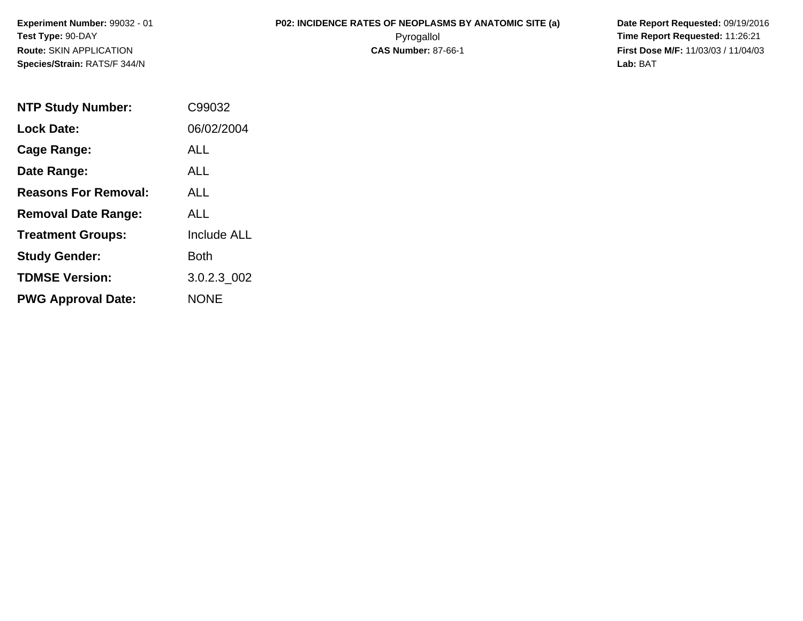**Experiment Number:** 99032 - 01**Test Type:** 90-DAY**Route:** SKIN APPLICATION**Species/Strain:** RATS/F 344/N

# **P02: INCIDENCE RATES OF NEOPLASMS BY ANATOMIC SITE (a)** Date Report Requested: 09/19/2016<br>Pyrogallol **Prime Report Requested:** 11:26:21

 Pyrogallol **Time Report Requested:** 11:26:21 **First Dose M/F:** 11/03/03 / 11/04/03<br>**Lab:** BAT **Lab:** BAT

| <b>NTP Study Number:</b>    | C99032             |
|-----------------------------|--------------------|
| <b>Lock Date:</b>           | 06/02/2004         |
| <b>Cage Range:</b>          | ALL                |
| Date Range:                 | ALL                |
| <b>Reasons For Removal:</b> | ALL.               |
| <b>Removal Date Range:</b>  | ALL                |
| <b>Treatment Groups:</b>    | <b>Include ALL</b> |
| <b>Study Gender:</b>        | Both               |
| <b>TDMSE Version:</b>       | 3.0.2.3 002        |
| <b>PWG Approval Date:</b>   | <b>NONE</b>        |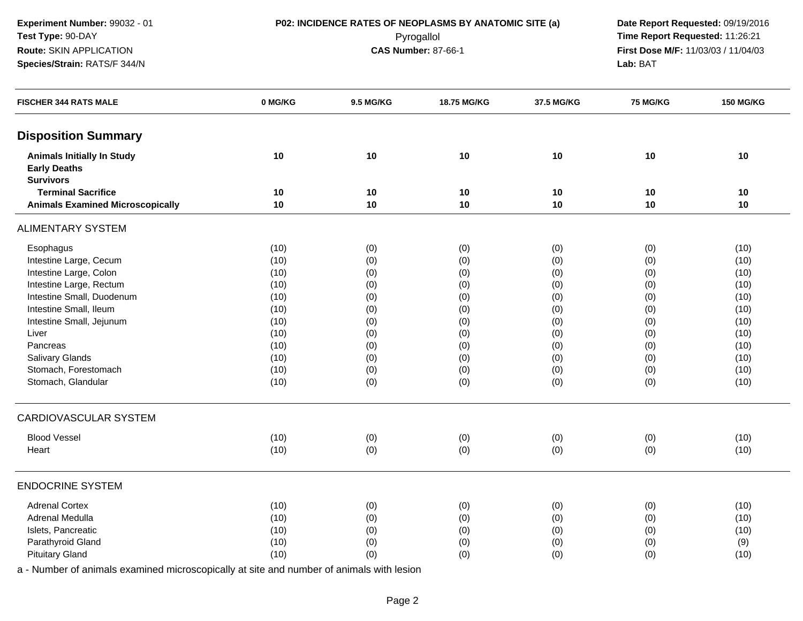**Experiment Number:** 99032 - 01**Test Type:** 90-DAY**Route:** SKIN APPLICATION

**Species/Strain:** RATS/F 344/N

 **P02: INCIDENCE RATES OF NEOPLASMS BY ANATOMIC SITE (a) Date Report Requested:** 09/19/2016 Pyrogallol **Time Report Requested:** 11:26:21 **First Dose M/F:** 11/03/03 / 11/04/03<br>**Lab:** BAT **Lab:** BAT

| <b>FISCHER 344 RATS MALE</b>                                                 | 0 MG/KG | 9.5 MG/KG | 18.75 MG/KG | 37.5 MG/KG | 75 MG/KG | <b>150 MG/KG</b> |
|------------------------------------------------------------------------------|---------|-----------|-------------|------------|----------|------------------|
| <b>Disposition Summary</b>                                                   |         |           |             |            |          |                  |
| <b>Animals Initially In Study</b><br><b>Early Deaths</b><br><b>Survivors</b> | 10      | 10        | 10          | 10         | 10       | 10               |
| <b>Terminal Sacrifice</b>                                                    | 10      | 10        | 10          | 10         | 10       | 10               |
| <b>Animals Examined Microscopically</b>                                      | 10      | $10$      | 10          | 10         | 10       | $10$             |
| <b>ALIMENTARY SYSTEM</b>                                                     |         |           |             |            |          |                  |
| Esophagus                                                                    | (10)    | (0)       | (0)         | (0)        | (0)      | (10)             |
| Intestine Large, Cecum                                                       | (10)    | (0)       | (0)         | (0)        | (0)      | (10)             |
| Intestine Large, Colon                                                       | (10)    | (0)       | (0)         | (0)        | (0)      | (10)             |
| Intestine Large, Rectum                                                      | (10)    | (0)       | (0)         | (0)        | (0)      | (10)             |
| Intestine Small, Duodenum                                                    | (10)    | (0)       | (0)         | (0)        | (0)      | (10)             |
| Intestine Small, Ileum                                                       | (10)    | (0)       | (0)         | (0)        | (0)      | (10)             |
| Intestine Small, Jejunum                                                     | (10)    | (0)       | (0)         | (0)        | (0)      | (10)             |
| Liver                                                                        | (10)    | (0)       | (0)         | (0)        | (0)      | (10)             |
| Pancreas                                                                     | (10)    | (0)       | (0)         | (0)        | (0)      | (10)             |
| Salivary Glands                                                              | (10)    | (0)       | (0)         | (0)        | (0)      | (10)             |
| Stomach, Forestomach                                                         | (10)    | (0)       | (0)         | (0)        | (0)      | (10)             |
| Stomach, Glandular                                                           | (10)    | (0)       | (0)         | (0)        | (0)      | (10)             |
| <b>CARDIOVASCULAR SYSTEM</b>                                                 |         |           |             |            |          |                  |
| <b>Blood Vessel</b>                                                          | (10)    | (0)       | (0)         | (0)        | (0)      | (10)             |
| Heart                                                                        | (10)    | (0)       | (0)         | (0)        | (0)      | (10)             |
| <b>ENDOCRINE SYSTEM</b>                                                      |         |           |             |            |          |                  |
| <b>Adrenal Cortex</b>                                                        | (10)    | (0)       | (0)         | (0)        | (0)      | (10)             |
| Adrenal Medulla                                                              | (10)    | (0)       | (0)         | (0)        | (0)      | (10)             |
| Islets, Pancreatic                                                           | (10)    | (0)       | (0)         | (0)        | (0)      | (10)             |
| Parathyroid Gland                                                            | (10)    | (0)       | (0)         | (0)        | (0)      | (9)              |
| <b>Pituitary Gland</b>                                                       | (10)    | (0)       | (0)         | (0)        | (0)      | (10)             |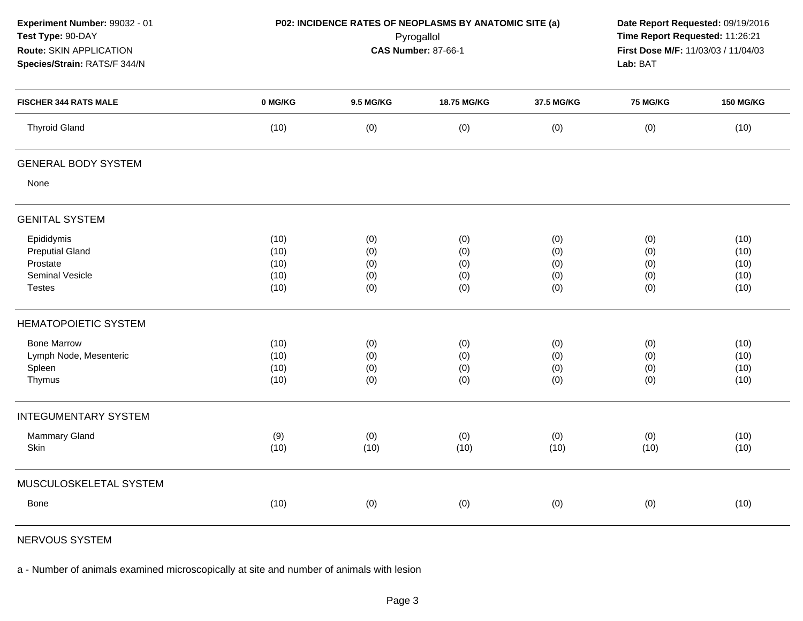| Experiment Number: 99032 - 01<br>Test Type: 90-DAY<br>Route: SKIN APPLICATION<br>Species/Strain: RATS/F 344/N |         | P02: INCIDENCE RATES OF NEOPLASMS BY ANATOMIC SITE (a)<br>Pyrogallol<br><b>CAS Number: 87-66-1</b> | Date Report Requested: 09/19/2016<br>Time Report Requested: 11:26:21<br>First Dose M/F: 11/03/03 / 11/04/03<br>Lab: BAT |            |          |                  |
|---------------------------------------------------------------------------------------------------------------|---------|----------------------------------------------------------------------------------------------------|-------------------------------------------------------------------------------------------------------------------------|------------|----------|------------------|
| <b>FISCHER 344 RATS MALE</b>                                                                                  | 0 MG/KG | <b>9.5 MG/KG</b>                                                                                   | 18.75 MG/KG                                                                                                             | 37.5 MG/KG | 75 MG/KG | <b>150 MG/KG</b> |
| <b>Thyroid Gland</b>                                                                                          | (10)    | (0)                                                                                                | (0)                                                                                                                     | (0)        | (0)      | (10)             |
| <b>GENERAL BODY SYSTEM</b>                                                                                    |         |                                                                                                    |                                                                                                                         |            |          |                  |
| None                                                                                                          |         |                                                                                                    |                                                                                                                         |            |          |                  |
| <b>GENITAL SYSTEM</b>                                                                                         |         |                                                                                                    |                                                                                                                         |            |          |                  |
| Epididymis                                                                                                    | (10)    | (0)                                                                                                | (0)                                                                                                                     | (0)        | (0)      | (10)             |
| <b>Preputial Gland</b>                                                                                        | (10)    | (0)                                                                                                | (0)                                                                                                                     | (0)        | (0)      | (10)             |
| Prostate                                                                                                      | (10)    | (0)                                                                                                | (0)                                                                                                                     | (0)        | (0)      | (10)             |
| Seminal Vesicle                                                                                               | (10)    | (0)                                                                                                | (0)                                                                                                                     | (0)        | (0)      | (10)             |
| <b>Testes</b>                                                                                                 | (10)    | (0)                                                                                                | (0)                                                                                                                     | (0)        | (0)      | (10)             |
| <b>HEMATOPOIETIC SYSTEM</b>                                                                                   |         |                                                                                                    |                                                                                                                         |            |          |                  |
| <b>Bone Marrow</b>                                                                                            | (10)    | (0)                                                                                                | (0)                                                                                                                     | (0)        | (0)      | (10)             |
| Lymph Node, Mesenteric                                                                                        | (10)    | (0)                                                                                                | (0)                                                                                                                     | (0)        | (0)      | (10)             |
| Spleen                                                                                                        | (10)    | (0)                                                                                                | (0)                                                                                                                     | (0)        | (0)      | (10)             |
| Thymus                                                                                                        | (10)    | (0)                                                                                                | (0)                                                                                                                     | (0)        | (0)      | (10)             |
| <b>INTEGUMENTARY SYSTEM</b>                                                                                   |         |                                                                                                    |                                                                                                                         |            |          |                  |
| Mammary Gland                                                                                                 | (9)     | (0)                                                                                                | (0)                                                                                                                     | (0)        | (0)      | (10)             |
| Skin                                                                                                          | (10)    | (10)                                                                                               | (10)                                                                                                                    | (10)       | (10)     | (10)             |
| MUSCULOSKELETAL SYSTEM                                                                                        |         |                                                                                                    |                                                                                                                         |            |          |                  |
| <b>Bone</b>                                                                                                   | (10)    | (0)                                                                                                | (0)                                                                                                                     | (0)        | (0)      | (10)             |
|                                                                                                               |         |                                                                                                    |                                                                                                                         |            |          |                  |

NERVOUS SYSTEM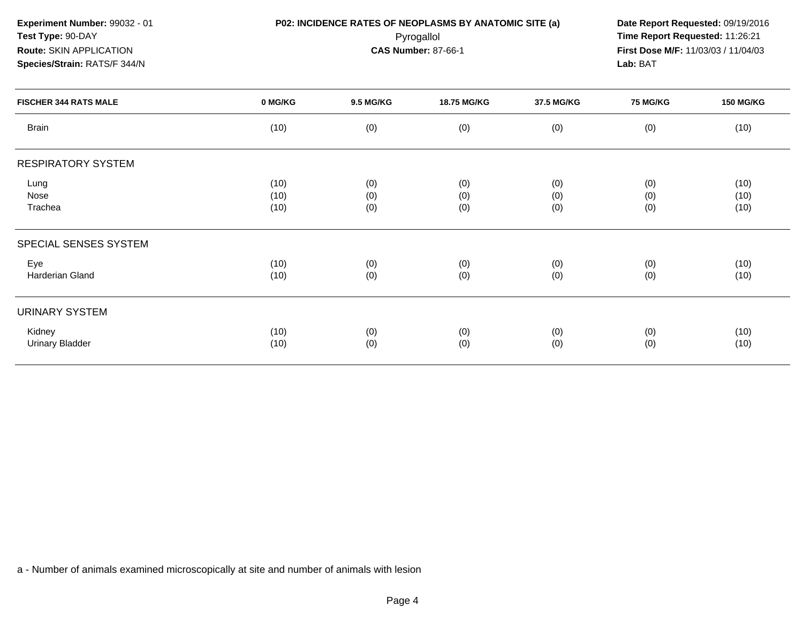**Experiment Number:** 99032 - 01**Test Type:** 90-DAY**Route:** SKIN APPLICATION

# **Species/Strain:** RATS/F 344/N

**P02: INCIDENCE RATES OF NEOPLASMS BY ANATOMIC SITE (a)** Date Report Requested: 09/19/2016<br>Pyrogallol **Prime Report Requested:** 11:26:21 Pyrogallol **Time Report Requested:** 11:26:21 **First Dose M/F:** 11/03/03 / 11/04/03<br>**Lab:** BAT **Lab:** BAT

| <b>FISCHER 344 RATS MALE</b>     | 0 MG/KG              | 9.5 MG/KG         | <b>18.75 MG/KG</b> | 37.5 MG/KG        | <b>75 MG/KG</b>   | <b>150 MG/KG</b>     |
|----------------------------------|----------------------|-------------------|--------------------|-------------------|-------------------|----------------------|
| <b>Brain</b>                     | (10)                 | (0)               | (0)                | (0)               | (0)               | (10)                 |
| <b>RESPIRATORY SYSTEM</b>        |                      |                   |                    |                   |                   |                      |
| Lung<br>Nose<br>Trachea          | (10)<br>(10)<br>(10) | (0)<br>(0)<br>(0) | (0)<br>(0)<br>(0)  | (0)<br>(0)<br>(0) | (0)<br>(0)<br>(0) | (10)<br>(10)<br>(10) |
| SPECIAL SENSES SYSTEM            |                      |                   |                    |                   |                   |                      |
| Eye<br>Harderian Gland           | (10)<br>(10)         | (0)<br>(0)        | (0)<br>(0)         | (0)<br>(0)        | (0)<br>(0)        | (10)<br>(10)         |
| <b>URINARY SYSTEM</b>            |                      |                   |                    |                   |                   |                      |
| Kidney<br><b>Urinary Bladder</b> | (10)<br>(10)         | (0)<br>(0)        | (0)<br>(0)         | (0)<br>(0)        | (0)<br>(0)        | (10)<br>(10)         |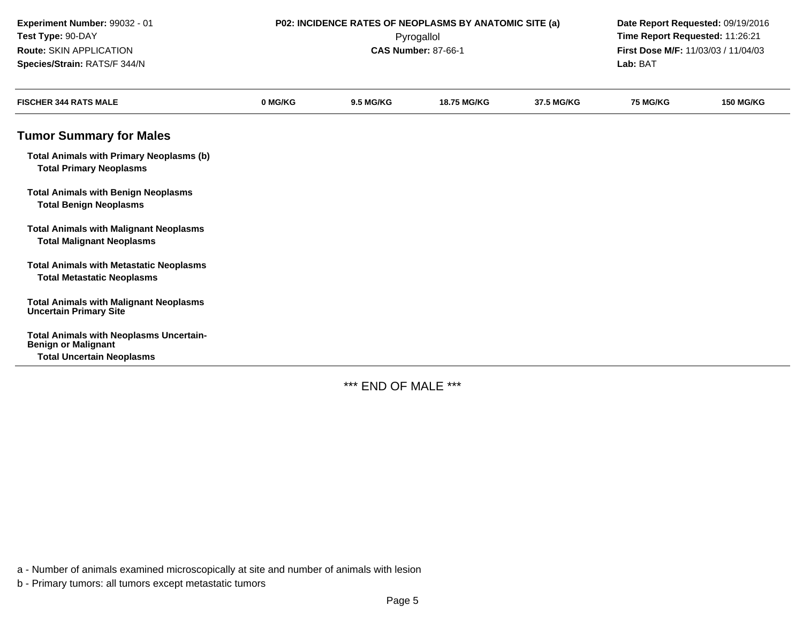| Experiment Number: 99032 - 01<br>Test Type: 90-DAY<br>Route: SKIN APPLICATION<br>Species/Strain: RATS/F 344/N    | P02: INCIDENCE RATES OF NEOPLASMS BY ANATOMIC SITE (a)<br>Pyrogallol<br><b>CAS Number: 87-66-1</b> |                  |                    |            | Date Report Requested: 09/19/2016<br>Time Report Requested: 11:26:21<br>First Dose M/F: 11/03/03 / 11/04/03<br>Lab: BAT |                  |  |
|------------------------------------------------------------------------------------------------------------------|----------------------------------------------------------------------------------------------------|------------------|--------------------|------------|-------------------------------------------------------------------------------------------------------------------------|------------------|--|
| <b>FISCHER 344 RATS MALE</b>                                                                                     | 0 MG/KG                                                                                            | <b>9.5 MG/KG</b> | <b>18.75 MG/KG</b> | 37.5 MG/KG | <b>75 MG/KG</b>                                                                                                         | <b>150 MG/KG</b> |  |
| <b>Tumor Summary for Males</b>                                                                                   |                                                                                                    |                  |                    |            |                                                                                                                         |                  |  |
| <b>Total Animals with Primary Neoplasms (b)</b><br><b>Total Primary Neoplasms</b>                                |                                                                                                    |                  |                    |            |                                                                                                                         |                  |  |
| <b>Total Animals with Benign Neoplasms</b><br><b>Total Benign Neoplasms</b>                                      |                                                                                                    |                  |                    |            |                                                                                                                         |                  |  |
| <b>Total Animals with Malignant Neoplasms</b><br><b>Total Malignant Neoplasms</b>                                |                                                                                                    |                  |                    |            |                                                                                                                         |                  |  |
| <b>Total Animals with Metastatic Neoplasms</b><br><b>Total Metastatic Neoplasms</b>                              |                                                                                                    |                  |                    |            |                                                                                                                         |                  |  |
| <b>Total Animals with Malignant Neoplasms</b><br><b>Uncertain Primary Site</b>                                   |                                                                                                    |                  |                    |            |                                                                                                                         |                  |  |
| <b>Total Animals with Neoplasms Uncertain-</b><br><b>Benign or Malignant</b><br><b>Total Uncertain Neoplasms</b> |                                                                                                    |                  |                    |            |                                                                                                                         |                  |  |

\*\*\* END OF MALE \*\*\*

a - Number of animals examined microscopically at site and number of animals with lesion

b - Primary tumors: all tumors except metastatic tumors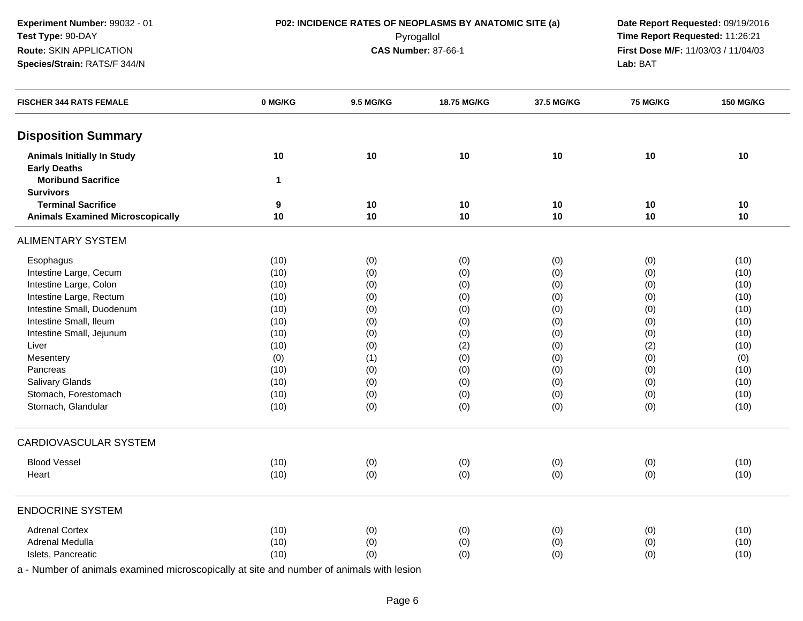**Experiment Number:** 99032 - 01**Test Type:** 90-DAY**Route:** SKIN APPLICATION

**Species/Strain:** RATS/F 344/N

 **P02: INCIDENCE RATES OF NEOPLASMS BY ANATOMIC SITE (a) Date Report Requested:** 09/19/2016 Pyrogallol **Time Report Requested:** 11:26:21 **First Dose M/F:** 11/03/03 / 11/04/03<br>**Lab:** BAT **Lab:** BAT

| <b>Disposition Summary</b><br>10<br>10<br>10<br>10<br><b>Animals Initially In Study</b><br>10<br>10<br><b>Early Deaths</b><br><b>Moribund Sacrifice</b><br>$\mathbf{1}$<br><b>Survivors</b><br><b>Terminal Sacrifice</b><br>9<br>10<br>10<br>10<br>10<br>10<br><b>Animals Examined Microscopically</b><br>10<br>$10$<br>10<br>10<br>10<br>10<br>Esophagus<br>(10)<br>(0)<br>(0)<br>(0)<br>(0)<br>(10)<br>Intestine Large, Cecum<br>(10)<br>(10)<br>(0)<br>(0)<br>(0)<br>(0)<br>Intestine Large, Colon<br>(10)<br>(0)<br>(0)<br>(0)<br>(0)<br>(10)<br>Intestine Large, Rectum<br>(10)<br>(0)<br>(0)<br>(10)<br>(0)<br>(0)<br>Intestine Small, Duodenum<br>(0)<br>(0)<br>(0)<br>(0)<br>(10)<br>(10)<br>Intestine Small, Ileum<br>(0)<br>(0)<br>(10)<br>(10)<br>(0)<br>(0)<br>Intestine Small, Jejunum<br>(0)<br>(0)<br>(0)<br>(10)<br>(10)<br>(0)<br>Liver<br>(2)<br>(0)<br>(2)<br>(10)<br>(10)<br>(0)<br>(0)<br>(1)<br>(0)<br>(0)<br>(0)<br>(0)<br>Mesentery<br>(10)<br>Pancreas<br>(10)<br>(0)<br>(0)<br>(0)<br>(0)<br>Salivary Glands<br>(0)<br>(10)<br>(10)<br>(0)<br>(0)<br>(0)<br>Stomach, Forestomach<br>(0)<br>(0)<br>(0)<br>(0)<br>(10)<br>(10)<br>Stomach, Glandular<br>(10)<br>(0)<br>(0)<br>(0)<br>(0)<br>(10)<br><b>Blood Vessel</b><br>(0)<br>(0)<br>(10)<br>(10)<br>(0)<br>(0)<br>(10)<br>(0)<br>(0)<br>(0)<br>(0)<br>(10)<br>Heart<br><b>ENDOCRINE SYSTEM</b><br><b>Adrenal Cortex</b><br>(10)<br>(0)<br>(10)<br>(0)<br>(0)<br>(0)<br>Adrenal Medulla<br>(0)<br>(0)<br>(0)<br>(0)<br>(10)<br>(10) | <b>FISCHER 344 RATS FEMALE</b> | 0 MG/KG | 9.5 MG/KG | 18.75 MG/KG | 37.5 MG/KG | 75 MG/KG | <b>150 MG/KG</b> |
|-----------------------------------------------------------------------------------------------------------------------------------------------------------------------------------------------------------------------------------------------------------------------------------------------------------------------------------------------------------------------------------------------------------------------------------------------------------------------------------------------------------------------------------------------------------------------------------------------------------------------------------------------------------------------------------------------------------------------------------------------------------------------------------------------------------------------------------------------------------------------------------------------------------------------------------------------------------------------------------------------------------------------------------------------------------------------------------------------------------------------------------------------------------------------------------------------------------------------------------------------------------------------------------------------------------------------------------------------------------------------------------------------------------------------------------------------------------------------------------------------------------------|--------------------------------|---------|-----------|-------------|------------|----------|------------------|
|                                                                                                                                                                                                                                                                                                                                                                                                                                                                                                                                                                                                                                                                                                                                                                                                                                                                                                                                                                                                                                                                                                                                                                                                                                                                                                                                                                                                                                                                                                                 |                                |         |           |             |            |          |                  |
|                                                                                                                                                                                                                                                                                                                                                                                                                                                                                                                                                                                                                                                                                                                                                                                                                                                                                                                                                                                                                                                                                                                                                                                                                                                                                                                                                                                                                                                                                                                 |                                |         |           |             |            |          |                  |
|                                                                                                                                                                                                                                                                                                                                                                                                                                                                                                                                                                                                                                                                                                                                                                                                                                                                                                                                                                                                                                                                                                                                                                                                                                                                                                                                                                                                                                                                                                                 |                                |         |           |             |            |          |                  |
|                                                                                                                                                                                                                                                                                                                                                                                                                                                                                                                                                                                                                                                                                                                                                                                                                                                                                                                                                                                                                                                                                                                                                                                                                                                                                                                                                                                                                                                                                                                 |                                |         |           |             |            |          |                  |
|                                                                                                                                                                                                                                                                                                                                                                                                                                                                                                                                                                                                                                                                                                                                                                                                                                                                                                                                                                                                                                                                                                                                                                                                                                                                                                                                                                                                                                                                                                                 |                                |         |           |             |            |          |                  |
|                                                                                                                                                                                                                                                                                                                                                                                                                                                                                                                                                                                                                                                                                                                                                                                                                                                                                                                                                                                                                                                                                                                                                                                                                                                                                                                                                                                                                                                                                                                 |                                |         |           |             |            |          |                  |
|                                                                                                                                                                                                                                                                                                                                                                                                                                                                                                                                                                                                                                                                                                                                                                                                                                                                                                                                                                                                                                                                                                                                                                                                                                                                                                                                                                                                                                                                                                                 |                                |         |           |             |            |          |                  |
|                                                                                                                                                                                                                                                                                                                                                                                                                                                                                                                                                                                                                                                                                                                                                                                                                                                                                                                                                                                                                                                                                                                                                                                                                                                                                                                                                                                                                                                                                                                 | <b>ALIMENTARY SYSTEM</b>       |         |           |             |            |          |                  |
|                                                                                                                                                                                                                                                                                                                                                                                                                                                                                                                                                                                                                                                                                                                                                                                                                                                                                                                                                                                                                                                                                                                                                                                                                                                                                                                                                                                                                                                                                                                 |                                |         |           |             |            |          |                  |
|                                                                                                                                                                                                                                                                                                                                                                                                                                                                                                                                                                                                                                                                                                                                                                                                                                                                                                                                                                                                                                                                                                                                                                                                                                                                                                                                                                                                                                                                                                                 |                                |         |           |             |            |          |                  |
|                                                                                                                                                                                                                                                                                                                                                                                                                                                                                                                                                                                                                                                                                                                                                                                                                                                                                                                                                                                                                                                                                                                                                                                                                                                                                                                                                                                                                                                                                                                 |                                |         |           |             |            |          |                  |
|                                                                                                                                                                                                                                                                                                                                                                                                                                                                                                                                                                                                                                                                                                                                                                                                                                                                                                                                                                                                                                                                                                                                                                                                                                                                                                                                                                                                                                                                                                                 |                                |         |           |             |            |          |                  |
|                                                                                                                                                                                                                                                                                                                                                                                                                                                                                                                                                                                                                                                                                                                                                                                                                                                                                                                                                                                                                                                                                                                                                                                                                                                                                                                                                                                                                                                                                                                 |                                |         |           |             |            |          |                  |
|                                                                                                                                                                                                                                                                                                                                                                                                                                                                                                                                                                                                                                                                                                                                                                                                                                                                                                                                                                                                                                                                                                                                                                                                                                                                                                                                                                                                                                                                                                                 |                                |         |           |             |            |          |                  |
|                                                                                                                                                                                                                                                                                                                                                                                                                                                                                                                                                                                                                                                                                                                                                                                                                                                                                                                                                                                                                                                                                                                                                                                                                                                                                                                                                                                                                                                                                                                 |                                |         |           |             |            |          |                  |
|                                                                                                                                                                                                                                                                                                                                                                                                                                                                                                                                                                                                                                                                                                                                                                                                                                                                                                                                                                                                                                                                                                                                                                                                                                                                                                                                                                                                                                                                                                                 |                                |         |           |             |            |          |                  |
|                                                                                                                                                                                                                                                                                                                                                                                                                                                                                                                                                                                                                                                                                                                                                                                                                                                                                                                                                                                                                                                                                                                                                                                                                                                                                                                                                                                                                                                                                                                 |                                |         |           |             |            |          |                  |
|                                                                                                                                                                                                                                                                                                                                                                                                                                                                                                                                                                                                                                                                                                                                                                                                                                                                                                                                                                                                                                                                                                                                                                                                                                                                                                                                                                                                                                                                                                                 |                                |         |           |             |            |          |                  |
|                                                                                                                                                                                                                                                                                                                                                                                                                                                                                                                                                                                                                                                                                                                                                                                                                                                                                                                                                                                                                                                                                                                                                                                                                                                                                                                                                                                                                                                                                                                 |                                |         |           |             |            |          |                  |
|                                                                                                                                                                                                                                                                                                                                                                                                                                                                                                                                                                                                                                                                                                                                                                                                                                                                                                                                                                                                                                                                                                                                                                                                                                                                                                                                                                                                                                                                                                                 |                                |         |           |             |            |          |                  |
|                                                                                                                                                                                                                                                                                                                                                                                                                                                                                                                                                                                                                                                                                                                                                                                                                                                                                                                                                                                                                                                                                                                                                                                                                                                                                                                                                                                                                                                                                                                 |                                |         |           |             |            |          |                  |
|                                                                                                                                                                                                                                                                                                                                                                                                                                                                                                                                                                                                                                                                                                                                                                                                                                                                                                                                                                                                                                                                                                                                                                                                                                                                                                                                                                                                                                                                                                                 | <b>CARDIOVASCULAR SYSTEM</b>   |         |           |             |            |          |                  |
|                                                                                                                                                                                                                                                                                                                                                                                                                                                                                                                                                                                                                                                                                                                                                                                                                                                                                                                                                                                                                                                                                                                                                                                                                                                                                                                                                                                                                                                                                                                 |                                |         |           |             |            |          |                  |
|                                                                                                                                                                                                                                                                                                                                                                                                                                                                                                                                                                                                                                                                                                                                                                                                                                                                                                                                                                                                                                                                                                                                                                                                                                                                                                                                                                                                                                                                                                                 |                                |         |           |             |            |          |                  |
|                                                                                                                                                                                                                                                                                                                                                                                                                                                                                                                                                                                                                                                                                                                                                                                                                                                                                                                                                                                                                                                                                                                                                                                                                                                                                                                                                                                                                                                                                                                 |                                |         |           |             |            |          |                  |
|                                                                                                                                                                                                                                                                                                                                                                                                                                                                                                                                                                                                                                                                                                                                                                                                                                                                                                                                                                                                                                                                                                                                                                                                                                                                                                                                                                                                                                                                                                                 |                                |         |           |             |            |          |                  |
|                                                                                                                                                                                                                                                                                                                                                                                                                                                                                                                                                                                                                                                                                                                                                                                                                                                                                                                                                                                                                                                                                                                                                                                                                                                                                                                                                                                                                                                                                                                 |                                |         |           |             |            |          |                  |
|                                                                                                                                                                                                                                                                                                                                                                                                                                                                                                                                                                                                                                                                                                                                                                                                                                                                                                                                                                                                                                                                                                                                                                                                                                                                                                                                                                                                                                                                                                                 | Islets, Pancreatic             | (10)    | (0)       | (0)         | (0)        | (0)      | (10)             |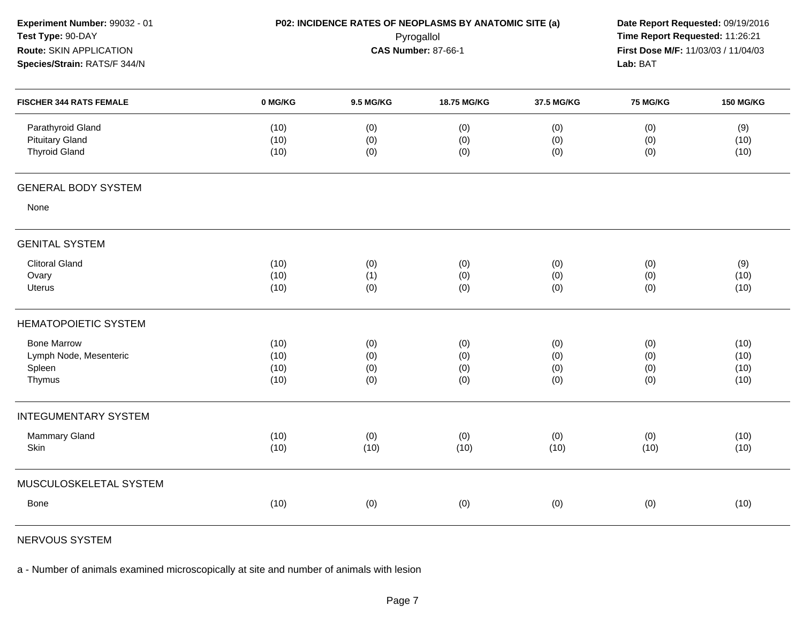| Experiment Number: 99032 - 01<br>Test Type: 90-DAY<br>Route: SKIN APPLICATION<br>Species/Strain: RATS/F 344/N |                              | P02: INCIDENCE RATES OF NEOPLASMS BY ANATOMIC SITE (a)<br>Pyrogallol<br><b>CAS Number: 87-66-1</b> | Date Report Requested: 09/19/2016<br>Time Report Requested: 11:26:21<br>First Dose M/F: 11/03/03 / 11/04/03<br>Lab: BAT |                          |                          |                              |
|---------------------------------------------------------------------------------------------------------------|------------------------------|----------------------------------------------------------------------------------------------------|-------------------------------------------------------------------------------------------------------------------------|--------------------------|--------------------------|------------------------------|
| <b>FISCHER 344 RATS FEMALE</b>                                                                                | 0 MG/KG                      | 9.5 MG/KG                                                                                          | 18.75 MG/KG                                                                                                             | 37.5 MG/KG               | <b>75 MG/KG</b>          | <b>150 MG/KG</b>             |
| Parathyroid Gland<br><b>Pituitary Gland</b><br><b>Thyroid Gland</b>                                           | (10)<br>(10)<br>(10)         | (0)<br>(0)<br>(0)                                                                                  | (0)<br>(0)<br>(0)                                                                                                       | (0)<br>(0)<br>(0)        | (0)<br>(0)<br>(0)        | (9)<br>(10)<br>(10)          |
| <b>GENERAL BODY SYSTEM</b>                                                                                    |                              |                                                                                                    |                                                                                                                         |                          |                          |                              |
| None                                                                                                          |                              |                                                                                                    |                                                                                                                         |                          |                          |                              |
| <b>GENITAL SYSTEM</b>                                                                                         |                              |                                                                                                    |                                                                                                                         |                          |                          |                              |
| <b>Clitoral Gland</b><br>Ovary<br><b>Uterus</b>                                                               | (10)<br>(10)<br>(10)         | (0)<br>(1)<br>(0)                                                                                  | (0)<br>(0)<br>(0)                                                                                                       | (0)<br>(0)<br>(0)        | (0)<br>(0)<br>(0)        | (9)<br>(10)<br>(10)          |
| <b>HEMATOPOIETIC SYSTEM</b>                                                                                   |                              |                                                                                                    |                                                                                                                         |                          |                          |                              |
| <b>Bone Marrow</b><br>Lymph Node, Mesenteric<br>Spleen<br>Thymus                                              | (10)<br>(10)<br>(10)<br>(10) | (0)<br>(0)<br>(0)<br>(0)                                                                           | (0)<br>(0)<br>(0)<br>(0)                                                                                                | (0)<br>(0)<br>(0)<br>(0) | (0)<br>(0)<br>(0)<br>(0) | (10)<br>(10)<br>(10)<br>(10) |
| <b>INTEGUMENTARY SYSTEM</b>                                                                                   |                              |                                                                                                    |                                                                                                                         |                          |                          |                              |
| <b>Mammary Gland</b><br>Skin                                                                                  | (10)<br>(10)                 | (0)<br>(10)                                                                                        | (0)<br>(10)                                                                                                             | (0)<br>(10)              | (0)<br>(10)              | (10)<br>(10)                 |
| MUSCULOSKELETAL SYSTEM                                                                                        |                              |                                                                                                    |                                                                                                                         |                          |                          |                              |
| <b>Bone</b>                                                                                                   | (10)                         | (0)                                                                                                | (0)                                                                                                                     | (0)                      | (0)                      | (10)                         |

NERVOUS SYSTEM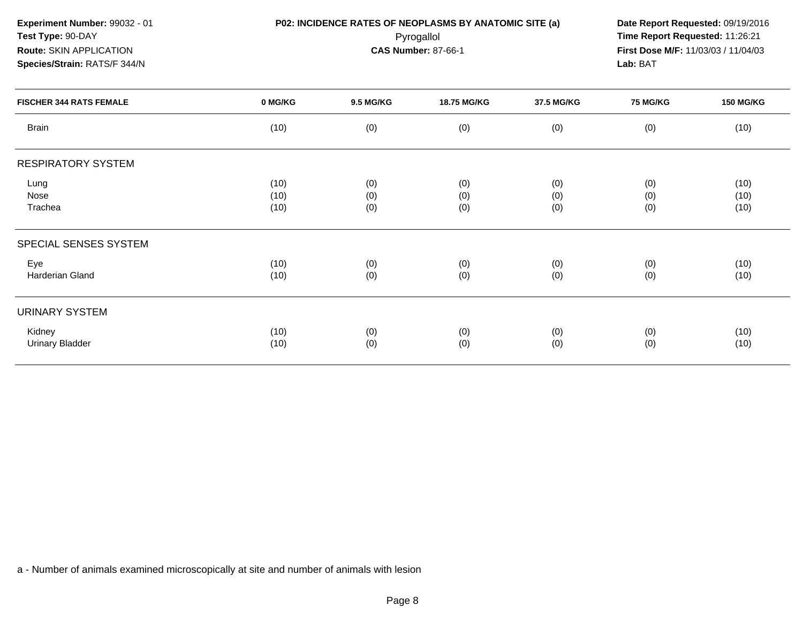**Experiment Number:** 99032 - 01**Test Type:** 90-DAY**Route:** SKIN APPLICATION**Species/Strain:** RATS/F 344/N

**P02: INCIDENCE RATES OF NEOPLASMS BY ANATOMIC SITE (a)** Date Report Requested: 09/19/2016<br>Pyrogallol **Prime Report Requested:** 11:26:21 Pyrogallol **Time Report Requested:** 11:26:21 **First Dose M/F:** 11/03/03 / 11/04/03<br>**Lab:** BAT **Lab:** BAT

| <b>FISCHER 344 RATS FEMALE</b>   | 0 MG/KG              | <b>9.5 MG/KG</b>  | <b>18.75 MG/KG</b> | 37.5 MG/KG        | <b>75 MG/KG</b>   | <b>150 MG/KG</b>     |
|----------------------------------|----------------------|-------------------|--------------------|-------------------|-------------------|----------------------|
| <b>Brain</b>                     | (10)                 | (0)               | (0)                | (0)               | (0)               | (10)                 |
| <b>RESPIRATORY SYSTEM</b>        |                      |                   |                    |                   |                   |                      |
| Lung<br>Nose<br>Trachea          | (10)<br>(10)<br>(10) | (0)<br>(0)<br>(0) | (0)<br>(0)<br>(0)  | (0)<br>(0)<br>(0) | (0)<br>(0)<br>(0) | (10)<br>(10)<br>(10) |
| SPECIAL SENSES SYSTEM            |                      |                   |                    |                   |                   |                      |
| Eye<br>Harderian Gland           | (10)<br>(10)         | (0)<br>(0)        | (0)<br>(0)         | (0)<br>(0)        | (0)<br>(0)        | (10)<br>(10)         |
| <b>URINARY SYSTEM</b>            |                      |                   |                    |                   |                   |                      |
| Kidney<br><b>Urinary Bladder</b> | (10)<br>(10)         | (0)<br>(0)        | (0)<br>(0)         | (0)<br>(0)        | (0)<br>(0)        | (10)<br>(10)         |